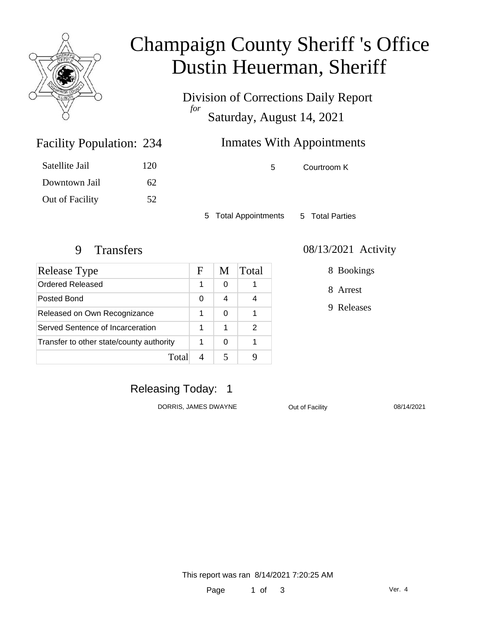

# Champaign County Sheriff 's Office Dustin Heuerman, Sheriff

Division of Corrections Daily Report *for* Saturday, August 14, 2021

# Inmates With Appointments

Facility Population: 234

| Satellite Jail  | 120 |
|-----------------|-----|
| Downtown Jail   | 62. |
| Out of Facility | 52  |

5 Courtroom K

5 Total Appointments 5 Total Parties

| Release Type                             | F | M | Total |
|------------------------------------------|---|---|-------|
| Ordered Released                         | 1 | 0 |       |
| Posted Bond                              |   | 4 |       |
| Released on Own Recognizance             |   | 0 |       |
| Served Sentence of Incarceration         |   | 1 | 2     |
| Transfer to other state/county authority |   | 0 |       |
| Total                                    |   |   |       |

#### 9 Transfers 08/13/2021 Activity

8 Bookings

8 Arrest

9 Releases

### Releasing Today: 1

DORRIS, JAMES DWAYNE **Out of Facility** 08/14/2021

This report was ran 8/14/2021 7:20:25 AM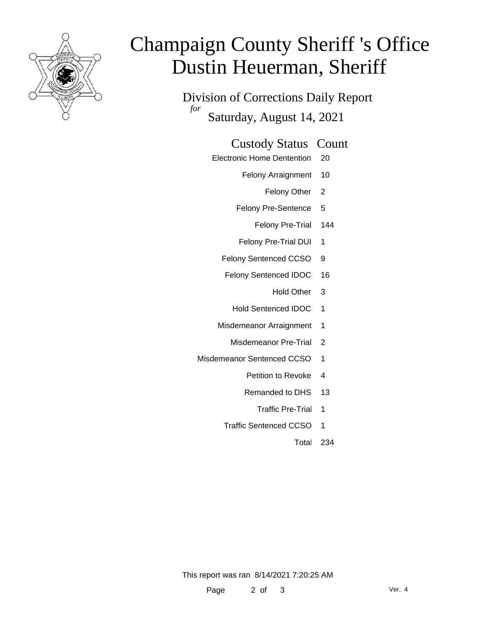

# Champaign County Sheriff 's Office Dustin Heuerman, Sheriff

Division of Corrections Daily Report *for* Saturday, August 14, 2021

#### Custody Status Count

- Electronic Home Dentention 20
	- Felony Arraignment 10
		- Felony Other 2
	- Felony Pre-Sentence 5
		- Felony Pre-Trial 144
	- Felony Pre-Trial DUI 1
	- Felony Sentenced CCSO 9
	- Felony Sentenced IDOC 16
		- Hold Other 3
		- Hold Sentenced IDOC 1
	- Misdemeanor Arraignment 1
		- Misdemeanor Pre-Trial 2
- Misdemeanor Sentenced CCSO 1
	- Petition to Revoke 4
	- Remanded to DHS 13
		- Traffic Pre-Trial 1
	- Traffic Sentenced CCSO 1
		- Total 234

This report was ran 8/14/2021 7:20:25 AM